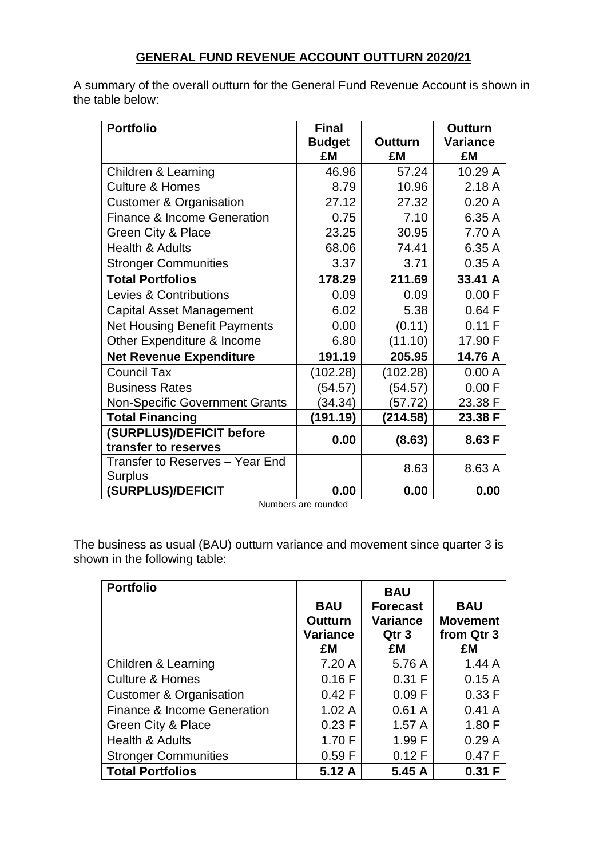# **GENERAL FUND REVENUE ACCOUNT OUTTURN 2020/21**

A summary of the overall outturn for the General Fund Revenue Account is shown in the table below:

| <b>Portfolio</b>                      | <b>Final</b>  |                | <b>Outturn</b>  |
|---------------------------------------|---------------|----------------|-----------------|
|                                       | <b>Budget</b> | <b>Outturn</b> | <b>Variance</b> |
|                                       | £M            | £M             | £M              |
| <b>Children &amp; Learning</b>        | 46.96         | 57.24          | 10.29 A         |
| <b>Culture &amp; Homes</b>            | 8.79          | 10.96          | 2.18A           |
| <b>Customer &amp; Organisation</b>    | 27.12         | 27.32          | 0.20A           |
| Finance & Income Generation           | 0.75          | 7.10           | 6.35 A          |
| <b>Green City &amp; Place</b>         | 23.25         | 30.95          | 7.70 A          |
| <b>Health &amp; Adults</b>            | 68.06         | 74.41          | 6.35 A          |
| <b>Stronger Communities</b>           | 3.37          | 3.71           | 0.35A           |
| <b>Total Portfolios</b>               | 178.29        | 211.69         | 33.41 A         |
| Levies & Contributions                | 0.09          | 0.09           | 0.00 F          |
| <b>Capital Asset Management</b>       | 6.02          | 5.38           | 0.64 F          |
| <b>Net Housing Benefit Payments</b>   | 0.00          | (0.11)         | 0.11 F          |
| Other Expenditure & Income            | 6.80          | (11.10)        | 17.90 F         |
| <b>Net Revenue Expenditure</b>        | 191.19        | 205.95         | 14.76 A         |
| <b>Council Tax</b>                    | (102.28)      | (102.28)       | 0.00A           |
| <b>Business Rates</b>                 | (54.57)       | (54.57)        | 0.00 F          |
| <b>Non-Specific Government Grants</b> | (34.34)       | (57.72)        | 23.38 F         |
| <b>Total Financing</b>                | (191.19)      | (214.58)       | 23.38 F         |
| (SURPLUS)/DEFICIT before              | 0.00          | (8.63)         | 8.63 F          |
| transfer to reserves                  |               |                |                 |
| Transfer to Reserves - Year End       |               | 8.63           | 8.63 A          |
| Surplus                               |               |                |                 |
| <b>(SURPLUS)/DEFICIT</b>              | 0.00          | 0.00           | 0.00            |

Numbers are rounded

The business as usual (BAU) outturn variance and movement since quarter 3 is shown in the following table:

| <b>Portfolio</b>                   | <b>BAU</b><br><b>Outturn</b><br><b>Variance</b><br>£M | <b>BAU</b><br><b>Forecast</b><br><b>Variance</b><br>Qtr 3<br>£M | <b>BAU</b><br><b>Movement</b><br>from Qtr 3<br>£M |
|------------------------------------|-------------------------------------------------------|-----------------------------------------------------------------|---------------------------------------------------|
| Children & Learning                | 7.20A                                                 | 5.76 A                                                          | 1.44A                                             |
| <b>Culture &amp; Homes</b>         | 0.16F                                                 | 0.31 F                                                          | 0.15A                                             |
| <b>Customer &amp; Organisation</b> | 0.42 F                                                | 0.09 F                                                          | 0.33 F                                            |
| Finance & Income Generation        | 1.02A                                                 | 0.61A                                                           | 0.41A                                             |
| Green City & Place                 | 0.23 F                                                | 1.57A                                                           | 1.80 F                                            |
| <b>Health &amp; Adults</b>         | 1.70 F                                                | 1.99 F                                                          | 0.29A                                             |
| <b>Stronger Communities</b>        | 0.59 F                                                | 0.12 F                                                          | 0.47 F                                            |
| <b>Total Portfolios</b>            | 5.12 A                                                | 5.45 A                                                          | 0.31 F                                            |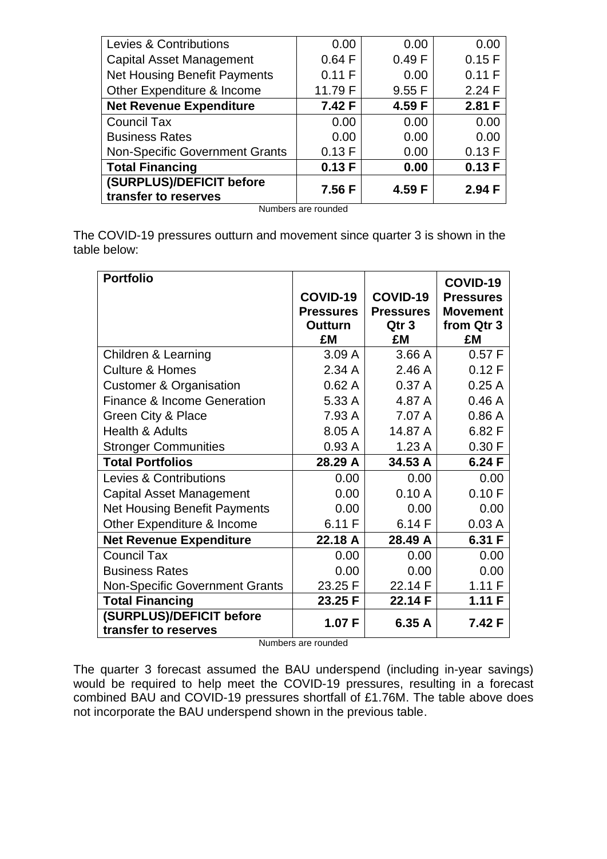| Levies & Contributions                           | 0.00    | 0.00   | 0.00   |
|--------------------------------------------------|---------|--------|--------|
| <b>Capital Asset Management</b>                  | 0.64 F  | 0.49 F | 0.15 F |
| Net Housing Benefit Payments                     | 0.11 F  | 0.00   | 0.11 F |
| Other Expenditure & Income                       | 11.79 F | 9.55 F | 2.24 F |
| <b>Net Revenue Expenditure</b>                   | 7.42 F  | 4.59 F | 2.81 F |
| <b>Council Tax</b>                               | 0.00    | 0.00   | 0.00   |
| <b>Business Rates</b>                            | 0.00    | 0.00   | 0.00   |
| <b>Non-Specific Government Grants</b>            | 0.13 F  | 0.00   | 0.13 F |
| <b>Total Financing</b>                           | 0.13F   | 0.00   | 0.13F  |
| (SURPLUS)/DEFICIT before<br>transfer to reserves | 7.56 F  | 4.59 F | 2.94 F |

Numbers are rounded

The COVID-19 pressures outturn and movement since quarter 3 is shown in the table below:

| <b>Portfolio</b>                       |                  |                  | COVID-19         |
|----------------------------------------|------------------|------------------|------------------|
|                                        | COVID-19         | COVID-19         | <b>Pressures</b> |
|                                        | <b>Pressures</b> | <b>Pressures</b> | <b>Movement</b>  |
|                                        | <b>Outturn</b>   | Qtr 3            | from Qtr 3       |
|                                        | £M               | £M               | £M               |
| Children & Learning                    | 3.09A            | 3.66A            | 0.57 F           |
| <b>Culture &amp; Homes</b>             | 2.34 A           | 2.46A            | 0.12 F           |
| <b>Customer &amp; Organisation</b>     | 0.62A            | 0.37A            | 0.25A            |
| <b>Finance &amp; Income Generation</b> | 5.33 A           | 4.87 A           | 0.46A            |
| Green City & Place                     | 7.93 A           | 7.07 A           | 0.86A            |
| <b>Health &amp; Adults</b>             | 8.05 A           | 14.87 A          | 6.82 F           |
| <b>Stronger Communities</b>            | 0.93A            | 1.23A            | 0.30 F           |
| <b>Total Portfolios</b>                | 28.29 A          | 34.53 A          | 6.24 F           |
| <b>Levies &amp; Contributions</b>      | 0.00             | 0.00             | 0.00             |
| <b>Capital Asset Management</b>        | 0.00             | 0.10A            | 0.10 F           |
| <b>Net Housing Benefit Payments</b>    | 0.00             | 0.00             | 0.00             |
| Other Expenditure & Income             | 6.11 F           | 6.14F            | 0.03A            |
| <b>Net Revenue Expenditure</b>         | 22.18 A          | 28.49 A          | 6.31 F           |
| <b>Council Tax</b>                     | 0.00             | 0.00             | 0.00             |
| <b>Business Rates</b>                  | 0.00             | 0.00             | 0.00             |
| <b>Non-Specific Government Grants</b>  | 23.25 F          | 22.14 F          | 1.11F            |
| <b>Total Financing</b>                 | 23.25 F          | 22.14 F          | 1.11 F           |
| (SURPLUS)/DEFICIT before               | 1.07 F           | 6.35 A           | 7.42 F           |
| transfer to reserves                   |                  |                  |                  |

Numbers are rounded

The quarter 3 forecast assumed the BAU underspend (including in-year savings) would be required to help meet the COVID-19 pressures, resulting in a forecast combined BAU and COVID-19 pressures shortfall of £1.76M. The table above does not incorporate the BAU underspend shown in the previous table.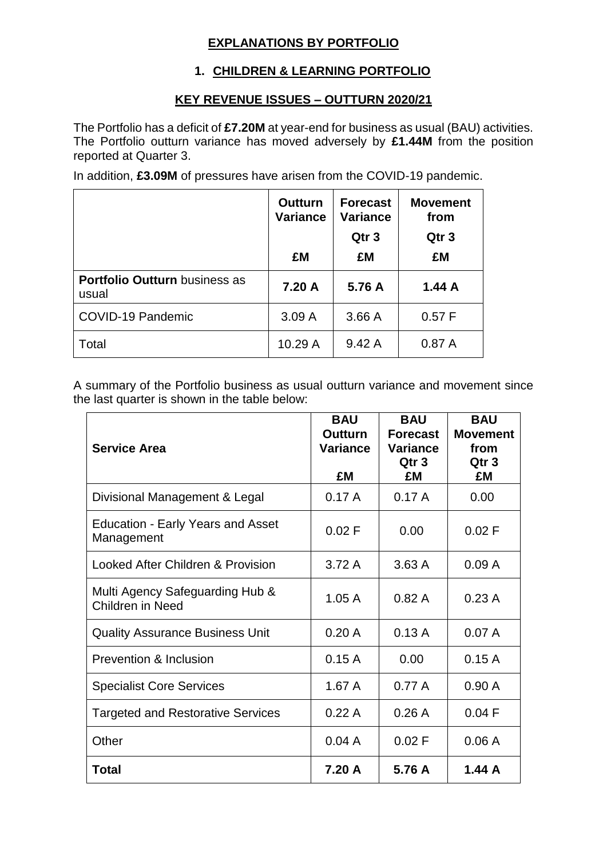### **EXPLANATIONS BY PORTFOLIO**

### **1. CHILDREN & LEARNING PORTFOLIO**

#### **KEY REVENUE ISSUES – OUTTURN 2020/21**

The Portfolio has a deficit of **£7.20M** at year-end for business as usual (BAU) activities. The Portfolio outturn variance has moved adversely by **£1.44M** from the position reported at Quarter 3.

In addition, **£3.09M** of pressures have arisen from the COVID-19 pandemic.

|                                               | <b>Outturn</b><br><b>Variance</b> | <b>Forecast</b><br><b>Variance</b> | <b>Movement</b><br>from |
|-----------------------------------------------|-----------------------------------|------------------------------------|-------------------------|
|                                               |                                   | Qtr <sub>3</sub>                   | Qtr <sub>3</sub>        |
|                                               | £M                                | £M                                 | £M                      |
| <b>Portfolio Outturn business as</b><br>usual | 7.20 A                            | 5.76 A                             | 1.44A                   |
| COVID-19 Pandemic                             | 3.09A                             | 3.66A                              | 0.57 F                  |
| Total                                         | 10.29 A                           | 9.42A                              | 0.87A                   |

A summary of the Portfolio business as usual outturn variance and movement since the last quarter is shown in the table below:

| <b>Service Area</b>                                        | <b>BAU</b><br><b>Outturn</b><br><b>Variance</b><br>£M | <b>BAU</b><br><b>Forecast</b><br><b>Variance</b><br>Qtr <sub>3</sub><br>£M | <b>BAU</b><br><b>Movement</b><br>from<br>Qtr <sub>3</sub><br>£M |
|------------------------------------------------------------|-------------------------------------------------------|----------------------------------------------------------------------------|-----------------------------------------------------------------|
| Divisional Management & Legal                              | 0.17A                                                 | 0.17A                                                                      | 0.00                                                            |
| <b>Education - Early Years and Asset</b><br>Management     | 0.02 F                                                | 0.00                                                                       | 0.02 F                                                          |
| Looked After Children & Provision                          | 3.72A                                                 | 3.63A                                                                      | 0.09A                                                           |
| Multi Agency Safeguarding Hub &<br><b>Children in Need</b> | 1.05A                                                 | 0.82A                                                                      | 0.23A                                                           |
| <b>Quality Assurance Business Unit</b>                     | 0.20A                                                 | 0.13A                                                                      | 0.07A                                                           |
| Prevention & Inclusion                                     | 0.15A                                                 | 0.00                                                                       | 0.15A                                                           |
| <b>Specialist Core Services</b>                            | 1.67A                                                 | 0.77A                                                                      | 0.90A                                                           |
| <b>Targeted and Restorative Services</b>                   | 0.22A                                                 | 0.26A                                                                      | 0.04 F                                                          |
| Other                                                      | 0.04A                                                 | 0.02 F                                                                     | 0.06A                                                           |
| <b>Total</b>                                               | 7.20 A                                                | 5.76 A                                                                     | 1.44A                                                           |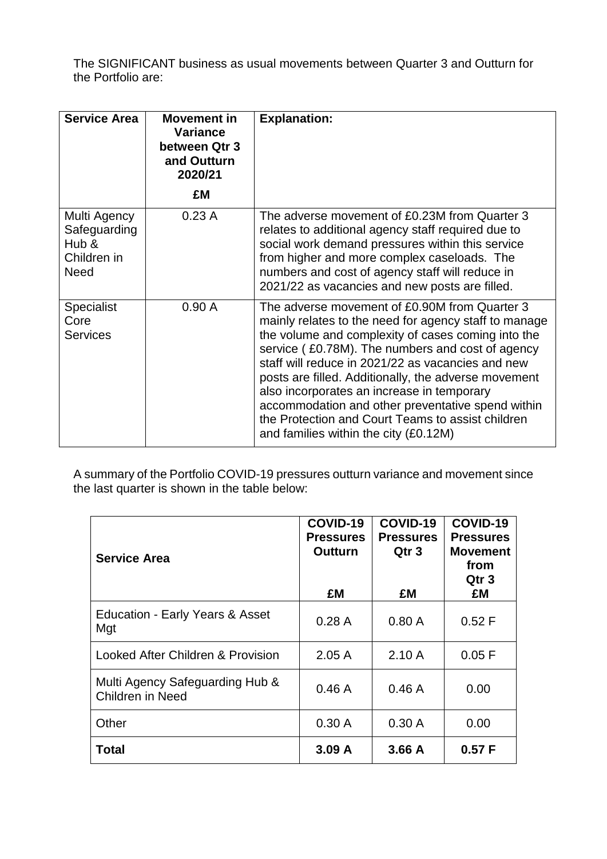The SIGNIFICANT business as usual movements between Quarter 3 and Outturn for the Portfolio are:

| <b>Service Area</b>                                                 | <b>Movement in</b><br><b>Variance</b><br>between Qtr 3<br>and Outturn<br>2020/21 | <b>Explanation:</b>                                                                                                                                                                                                                                                                                                                                                                                                                                                                                                            |
|---------------------------------------------------------------------|----------------------------------------------------------------------------------|--------------------------------------------------------------------------------------------------------------------------------------------------------------------------------------------------------------------------------------------------------------------------------------------------------------------------------------------------------------------------------------------------------------------------------------------------------------------------------------------------------------------------------|
|                                                                     | £M                                                                               |                                                                                                                                                                                                                                                                                                                                                                                                                                                                                                                                |
| Multi Agency<br>Safeguarding<br>Hub &<br>Children in<br><b>Need</b> | 0.23A                                                                            | The adverse movement of £0.23M from Quarter 3<br>relates to additional agency staff required due to<br>social work demand pressures within this service<br>from higher and more complex caseloads. The<br>numbers and cost of agency staff will reduce in<br>2021/22 as vacancies and new posts are filled.                                                                                                                                                                                                                    |
| <b>Specialist</b><br>Core<br><b>Services</b>                        | 0.90A                                                                            | The adverse movement of £0.90M from Quarter 3<br>mainly relates to the need for agency staff to manage<br>the volume and complexity of cases coming into the<br>service (£0.78M). The numbers and cost of agency<br>staff will reduce in 2021/22 as vacancies and new<br>posts are filled. Additionally, the adverse movement<br>also incorporates an increase in temporary<br>accommodation and other preventative spend within<br>the Protection and Court Teams to assist children<br>and families within the city (£0.12M) |

A summary of the Portfolio COVID-19 pressures outturn variance and movement since the last quarter is shown in the table below:

| <b>Service Area</b>                                        | COVID-19<br><b>Pressures</b><br><b>Outturn</b><br>£M | COVID-19<br><b>Pressures</b><br>Qtr 3<br>£M | COVID-19<br><b>Pressures</b><br><b>Movement</b><br>from<br>Qtr <sub>3</sub><br>£M |
|------------------------------------------------------------|------------------------------------------------------|---------------------------------------------|-----------------------------------------------------------------------------------|
| <b>Education - Early Years &amp; Asset</b><br>Mgt          | 0.28A                                                | 0.80A                                       | 0.52 F                                                                            |
| Looked After Children & Provision                          | 2.05A                                                | 2.10A                                       | 0.05 F                                                                            |
| Multi Agency Safeguarding Hub &<br><b>Children in Need</b> | 0.46A                                                | 0.46A                                       | 0.00                                                                              |
| Other                                                      | 0.30A                                                | 0.30A                                       | 0.00                                                                              |
| Total                                                      | 3.09A                                                | 3.66A                                       | 0.57 F                                                                            |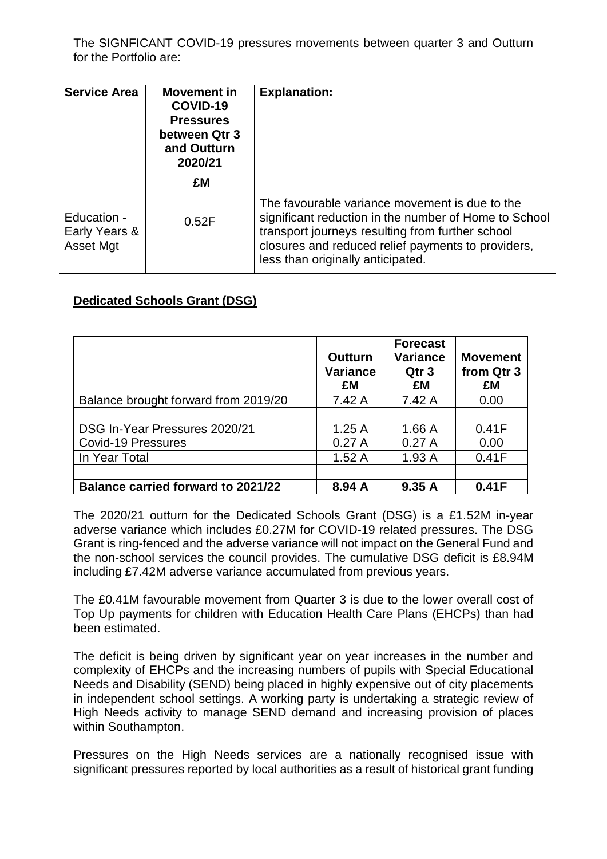The SIGNFICANT COVID-19 pressures movements between quarter 3 and Outturn for the Portfolio are:

| <b>Service Area</b>                       | Movement in<br>COVID-19<br><b>Pressures</b><br>between Qtr 3<br>and Outturn<br>2020/21<br>£M | <b>Explanation:</b>                                                                                                                                                                                                                                    |
|-------------------------------------------|----------------------------------------------------------------------------------------------|--------------------------------------------------------------------------------------------------------------------------------------------------------------------------------------------------------------------------------------------------------|
| Education -<br>Early Years &<br>Asset Mgt | 0.52F                                                                                        | The favourable variance movement is due to the<br>significant reduction in the number of Home to School<br>transport journeys resulting from further school<br>closures and reduced relief payments to providers,<br>less than originally anticipated. |

#### **Dedicated Schools Grant (DSG)**

|                                                                             | <b>Outturn</b><br><b>Variance</b><br>£M | <b>Forecast</b><br><b>Variance</b><br>Qtr <sub>3</sub><br>£M | <b>Movement</b><br>from Qtr 3<br>£M |
|-----------------------------------------------------------------------------|-----------------------------------------|--------------------------------------------------------------|-------------------------------------|
| Balance brought forward from 2019/20                                        | 7.42 A                                  | 7.42 A                                                       | 0.00                                |
| DSG In-Year Pressures 2020/21<br><b>Covid-19 Pressures</b><br>In Year Total | 1.25A<br>0.27A<br>1.52A                 | 1.66A<br>0.27A<br>1.93A                                      | 0.41F<br>0.00<br>0.41F              |
|                                                                             |                                         |                                                              |                                     |
| <b>Balance carried forward to 2021/22</b>                                   | 8.94 A                                  | 9.35A                                                        | 0.41F                               |

The 2020/21 outturn for the Dedicated Schools Grant (DSG) is a £1.52M in-year adverse variance which includes £0.27M for COVID-19 related pressures. The DSG Grant is ring-fenced and the adverse variance will not impact on the General Fund and the non-school services the council provides. The cumulative DSG deficit is £8.94M including £7.42M adverse variance accumulated from previous years.

The £0.41M favourable movement from Quarter 3 is due to the lower overall cost of Top Up payments for children with Education Health Care Plans (EHCPs) than had been estimated.

The deficit is being driven by significant year on year increases in the number and complexity of EHCPs and the increasing numbers of pupils with Special Educational Needs and Disability (SEND) being placed in highly expensive out of city placements in independent school settings. A working party is undertaking a strategic review of High Needs activity to manage SEND demand and increasing provision of places within Southampton.

Pressures on the High Needs services are a nationally recognised issue with significant pressures reported by local authorities as a result of historical grant funding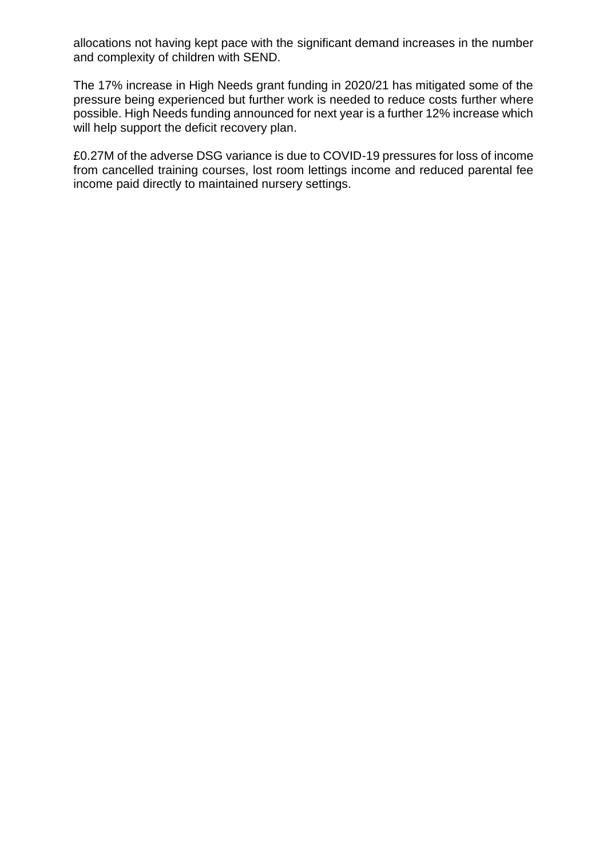allocations not having kept pace with the significant demand increases in the number and complexity of children with SEND.

The 17% increase in High Needs grant funding in 2020/21 has mitigated some of the pressure being experienced but further work is needed to reduce costs further where possible. High Needs funding announced for next year is a further 12% increase which will help support the deficit recovery plan.

£0.27M of the adverse DSG variance is due to COVID-19 pressures for loss of income from cancelled training courses, lost room lettings income and reduced parental fee income paid directly to maintained nursery settings.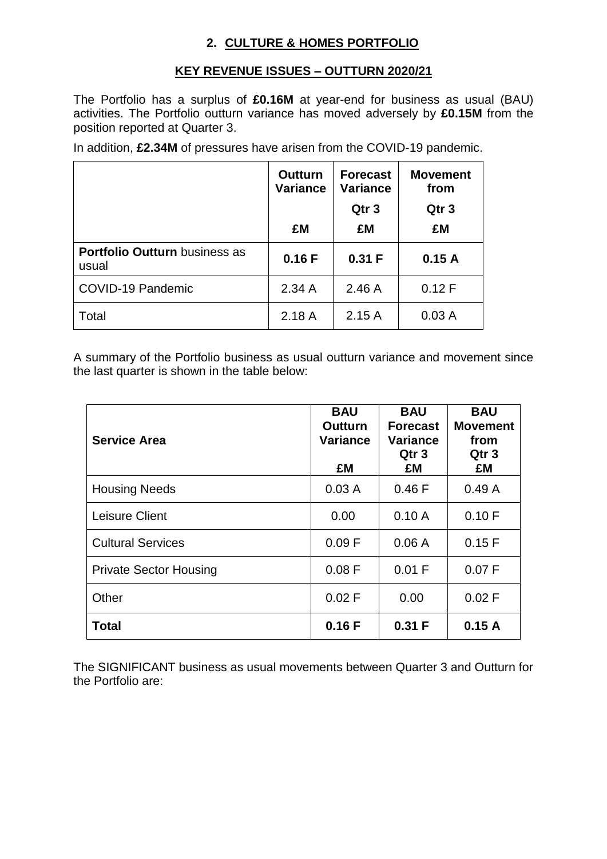## **2. CULTURE & HOMES PORTFOLIO**

### **KEY REVENUE ISSUES – OUTTURN 2020/21**

The Portfolio has a surplus of **£0.16M** at year-end for business as usual (BAU) activities. The Portfolio outturn variance has moved adversely by **£0.15M** from the position reported at Quarter 3.

In addition, **£2.34M** of pressures have arisen from the COVID-19 pandemic.

|                                               | <b>Outturn</b><br><b>Variance</b> | <b>Forecast</b><br><b>Variance</b><br>Qtr <sub>3</sub> | <b>Movement</b><br>from<br>Qtr <sub>3</sub> |
|-----------------------------------------------|-----------------------------------|--------------------------------------------------------|---------------------------------------------|
|                                               | £M                                | £M                                                     | £M                                          |
| <b>Portfolio Outturn business as</b><br>usual | 0.16F                             | 0.31 F                                                 | 0.15A                                       |
| COVID-19 Pandemic                             | 2.34A                             | 2.46A                                                  | 0.12 F                                      |
| Total                                         | 2.18A                             | 2.15A                                                  | 0.03A                                       |

A summary of the Portfolio business as usual outturn variance and movement since the last quarter is shown in the table below:

| <b>Service Area</b>           | <b>BAU</b><br><b>Outturn</b><br><b>Variance</b><br>£M | <b>BAU</b><br><b>Forecast</b><br><b>Variance</b><br>Qtr 3<br>£M | <b>BAU</b><br><b>Movement</b><br>from<br>Qtr <sub>3</sub><br>£M |
|-------------------------------|-------------------------------------------------------|-----------------------------------------------------------------|-----------------------------------------------------------------|
| <b>Housing Needs</b>          | 0.03A                                                 | 0.46 F                                                          | 0.49A                                                           |
| Leisure Client                | 0.00                                                  | 0.10A                                                           | 0.10 F                                                          |
| <b>Cultural Services</b>      | 0.09 F                                                | 0.06A                                                           | 0.15F                                                           |
| <b>Private Sector Housing</b> | 0.08 F                                                | 0.01 F                                                          | 0.07 F                                                          |
| Other                         | 0.02 F                                                | 0.00                                                            | 0.02 F                                                          |
| <b>Total</b>                  | 0.16F                                                 | 0.31 F                                                          | 0.15A                                                           |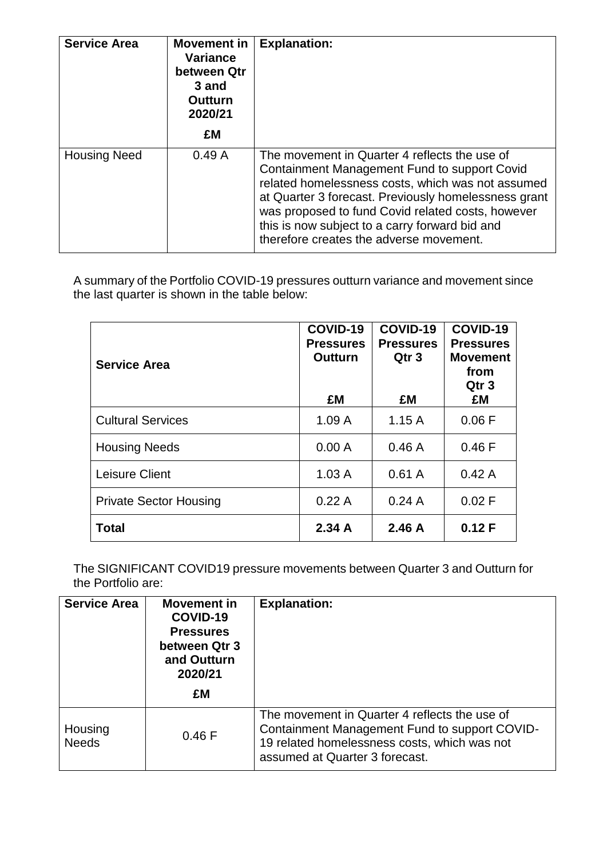| <b>Service Area</b> | <b>Movement in</b><br><b>Variance</b><br>between Qtr<br>3 and<br><b>Outturn</b><br>2020/21<br>£M | <b>Explanation:</b>                                                                                                                                                                                                                                                                                                                                          |
|---------------------|--------------------------------------------------------------------------------------------------|--------------------------------------------------------------------------------------------------------------------------------------------------------------------------------------------------------------------------------------------------------------------------------------------------------------------------------------------------------------|
| <b>Housing Need</b> | 0.49A                                                                                            | The movement in Quarter 4 reflects the use of<br>Containment Management Fund to support Covid<br>related homelessness costs, which was not assumed<br>at Quarter 3 forecast. Previously homelessness grant<br>was proposed to fund Covid related costs, however<br>this is now subject to a carry forward bid and<br>therefore creates the adverse movement. |

| <b>Service Area</b>           | COVID-19<br><b>Pressures</b><br><b>Outturn</b><br>£M | COVID-19<br><b>Pressures</b><br>Qtr <sub>3</sub><br>£M | COVID-19<br><b>Pressures</b><br><b>Movement</b><br>from<br>Qtr <sub>3</sub><br>£M |
|-------------------------------|------------------------------------------------------|--------------------------------------------------------|-----------------------------------------------------------------------------------|
| <b>Cultural Services</b>      | 1.09A                                                | 1.15A                                                  | 0.06 F                                                                            |
| <b>Housing Needs</b>          | 0.00 A                                               | 0.46A                                                  | 0.46 F                                                                            |
| Leisure Client                | 1.03A                                                | 0.61A                                                  | 0.42A                                                                             |
| <b>Private Sector Housing</b> | 0.22A                                                | 0.24A                                                  | 0.02 F                                                                            |
| <b>Total</b>                  | 2.34A                                                | 2.46A                                                  | 0.12 F                                                                            |

The SIGNIFICANT COVID19 pressure movements between Quarter 3 and Outturn for the Portfolio are:

| <b>Service Area</b>     | Movement in<br>COVID-19<br><b>Pressures</b><br>between Qtr 3<br>and Outturn<br>2020/21<br>£M | <b>Explanation:</b>                                                                                                                                                              |
|-------------------------|----------------------------------------------------------------------------------------------|----------------------------------------------------------------------------------------------------------------------------------------------------------------------------------|
| Housing<br><b>Needs</b> | 0.46 F                                                                                       | The movement in Quarter 4 reflects the use of<br>Containment Management Fund to support COVID-<br>19 related homelessness costs, which was not<br>assumed at Quarter 3 forecast. |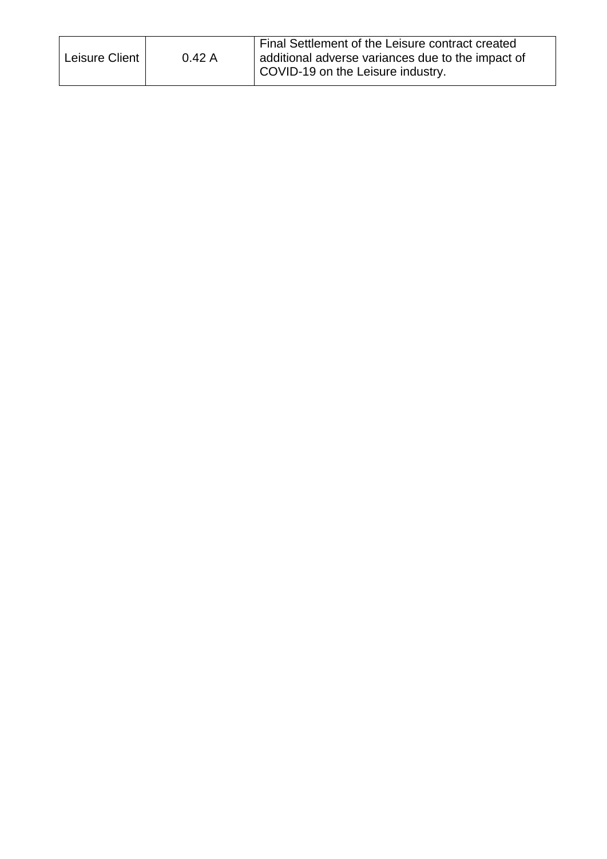| additional adverse variances due to the impact of<br>Leisure Client  <br>0.42A<br>COVID-19 on the Leisure industry. |  |  | Final Settlement of the Leisure contract created |  |
|---------------------------------------------------------------------------------------------------------------------|--|--|--------------------------------------------------|--|
|---------------------------------------------------------------------------------------------------------------------|--|--|--------------------------------------------------|--|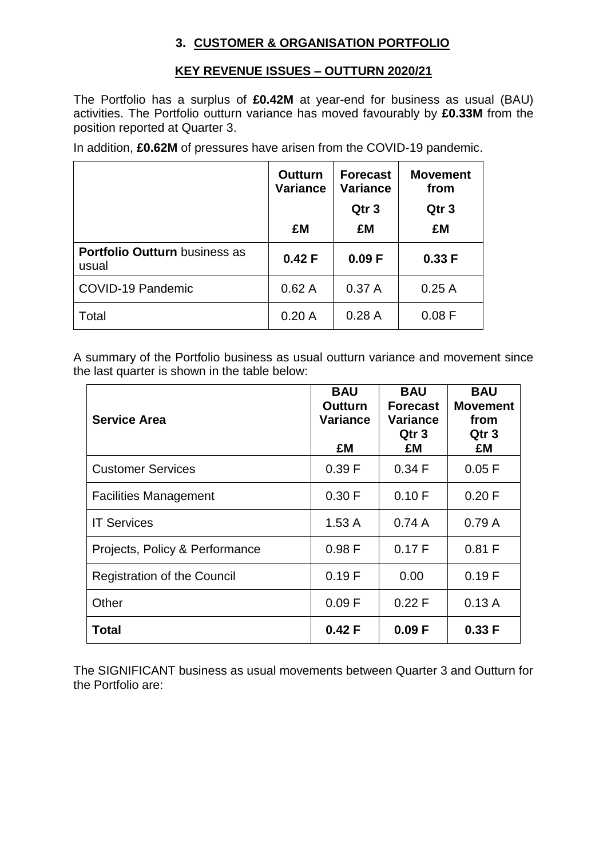### **3. CUSTOMER & ORGANISATION PORTFOLIO**

#### **KEY REVENUE ISSUES – OUTTURN 2020/21**

The Portfolio has a surplus of **£0.42M** at year-end for business as usual (BAU) activities. The Portfolio outturn variance has moved favourably by **£0.33M** from the position reported at Quarter 3.

In addition, **£0.62M** of pressures have arisen from the COVID-19 pandemic.

|                                               | <b>Outturn</b><br><b>Variance</b> | <b>Forecast</b><br><b>Variance</b><br>Qtr <sub>3</sub> | <b>Movement</b><br>from<br>Qtr <sub>3</sub> |
|-----------------------------------------------|-----------------------------------|--------------------------------------------------------|---------------------------------------------|
|                                               | £M                                | £M                                                     | £M                                          |
| <b>Portfolio Outturn business as</b><br>usual | 0.42 F                            | 0.09 F                                                 | 0.33 F                                      |
| <b>COVID-19 Pandemic</b>                      | 0.62A                             | 0.37A                                                  | 0.25A                                       |
| Total                                         | 0.20A                             | 0.28A                                                  | 0.08 F                                      |

A summary of the Portfolio business as usual outturn variance and movement since the last quarter is shown in the table below:

| <b>Service Area</b>                | <b>BAU</b><br><b>Outturn</b><br><b>Variance</b><br>£M | <b>BAU</b><br><b>Forecast</b><br><b>Variance</b><br>Qtr 3<br>£M | <b>BAU</b><br><b>Movement</b><br>from<br>Qtr 3<br>£M |
|------------------------------------|-------------------------------------------------------|-----------------------------------------------------------------|------------------------------------------------------|
| <b>Customer Services</b>           | 0.39 F                                                | 0.34 F                                                          | 0.05 F                                               |
| <b>Facilities Management</b>       | 0.30 F                                                | 0.10 F                                                          | 0.20 F                                               |
| <b>IT Services</b>                 | 1.53A                                                 | 0.74A                                                           | 0.79A                                                |
| Projects, Policy & Performance     | 0.98F                                                 | 0.17 F                                                          | 0.81 F                                               |
| <b>Registration of the Council</b> | 0.19F                                                 | 0.00                                                            | 0.19F                                                |
| Other                              | 0.09 F                                                | 0.22 F                                                          | 0.13A                                                |
| Total                              | 0.42 F                                                | 0.09 F                                                          | 0.33 F                                               |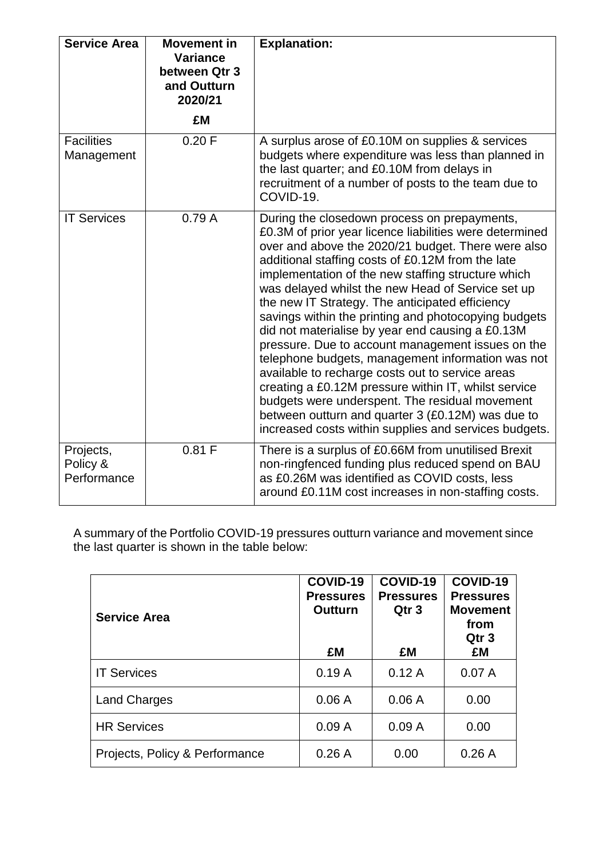| <b>Service Area</b>                  | <b>Movement in</b><br><b>Variance</b><br>between Qtr 3<br>and Outturn<br>2020/21 | <b>Explanation:</b>                                                                                                                                                                                                                                                                                                                                                                                                                                                                                                                                                                                                                                                                                                                                                                                                                                                                |
|--------------------------------------|----------------------------------------------------------------------------------|------------------------------------------------------------------------------------------------------------------------------------------------------------------------------------------------------------------------------------------------------------------------------------------------------------------------------------------------------------------------------------------------------------------------------------------------------------------------------------------------------------------------------------------------------------------------------------------------------------------------------------------------------------------------------------------------------------------------------------------------------------------------------------------------------------------------------------------------------------------------------------|
|                                      | £M                                                                               |                                                                                                                                                                                                                                                                                                                                                                                                                                                                                                                                                                                                                                                                                                                                                                                                                                                                                    |
| <b>Facilities</b><br>Management      | 0.20 F                                                                           | A surplus arose of £0.10M on supplies & services<br>budgets where expenditure was less than planned in<br>the last quarter; and £0.10M from delays in<br>recruitment of a number of posts to the team due to<br>COVID-19.                                                                                                                                                                                                                                                                                                                                                                                                                                                                                                                                                                                                                                                          |
| <b>IT Services</b>                   | 0.79A                                                                            | During the closedown process on prepayments,<br>£0.3M of prior year licence liabilities were determined<br>over and above the 2020/21 budget. There were also<br>additional staffing costs of £0.12M from the late<br>implementation of the new staffing structure which<br>was delayed whilst the new Head of Service set up<br>the new IT Strategy. The anticipated efficiency<br>savings within the printing and photocopying budgets<br>did not materialise by year end causing a £0.13M<br>pressure. Due to account management issues on the<br>telephone budgets, management information was not<br>available to recharge costs out to service areas<br>creating a £0.12M pressure within IT, whilst service<br>budgets were underspent. The residual movement<br>between outturn and quarter 3 (£0.12M) was due to<br>increased costs within supplies and services budgets. |
| Projects,<br>Policy &<br>Performance | 0.81 F                                                                           | There is a surplus of £0.66M from unutilised Brexit<br>non-ringfenced funding plus reduced spend on BAU<br>as £0.26M was identified as COVID costs, less<br>around £0.11M cost increases in non-staffing costs.                                                                                                                                                                                                                                                                                                                                                                                                                                                                                                                                                                                                                                                                    |

| <b>Service Area</b>            | COVID-19<br><b>Pressures</b><br>Outturn<br>£M | COVID-19<br><b>Pressures</b><br>Qtr <sub>3</sub><br>£M | COVID-19<br><b>Pressures</b><br><b>Movement</b><br>from<br>Qtr <sub>3</sub><br>£M |
|--------------------------------|-----------------------------------------------|--------------------------------------------------------|-----------------------------------------------------------------------------------|
| <b>IT Services</b>             | 0.19A                                         | 0.12A                                                  | 0.07A                                                                             |
| <b>Land Charges</b>            | 0.06A                                         | 0.06A                                                  | 0.00                                                                              |
| <b>HR Services</b>             | 0.09A                                         | 0.09A                                                  | 0.00                                                                              |
| Projects, Policy & Performance | 0.26A                                         | 0.00                                                   | 0.26A                                                                             |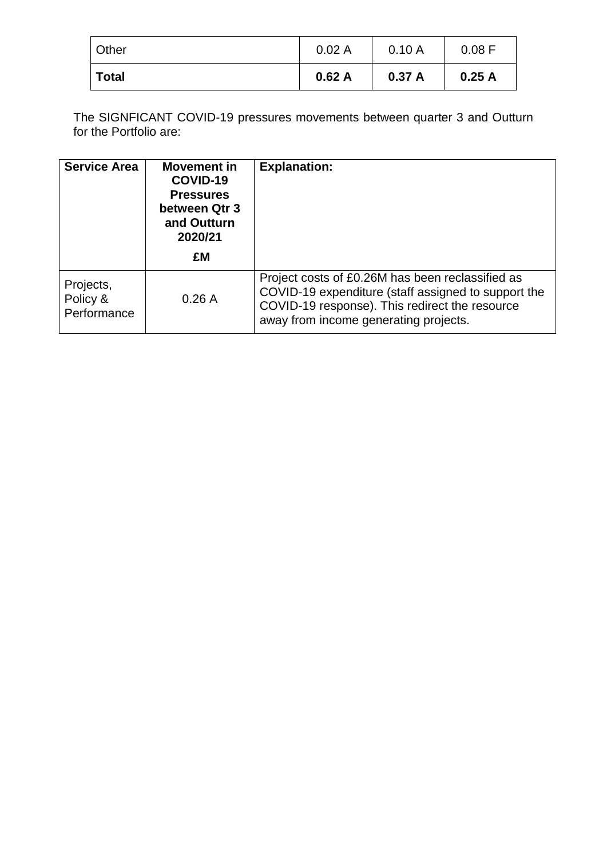| Other        | 0.02A | 0.10A | 0.08 F |
|--------------|-------|-------|--------|
| <b>Total</b> | 0.62A |       | 0.25A  |
|              |       | 0.37A |        |

The SIGNFICANT COVID-19 pressures movements between quarter 3 and Outturn for the Portfolio are:

| <b>Service Area</b>                  | Movement in<br>COVID-19<br><b>Pressures</b><br>between Qtr 3<br>and Outturn<br>2020/21 | <b>Explanation:</b>                                                                                                                                                                                |
|--------------------------------------|----------------------------------------------------------------------------------------|----------------------------------------------------------------------------------------------------------------------------------------------------------------------------------------------------|
|                                      | £M                                                                                     |                                                                                                                                                                                                    |
| Projects,<br>Policy &<br>Performance | 0.26A                                                                                  | Project costs of £0.26M has been reclassified as<br>COVID-19 expenditure (staff assigned to support the<br>COVID-19 response). This redirect the resource<br>away from income generating projects. |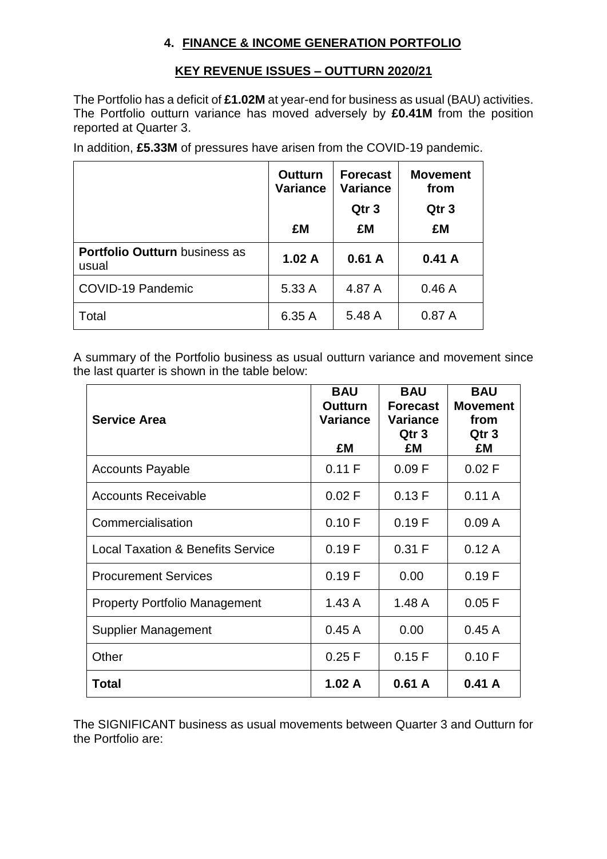### **4. FINANCE & INCOME GENERATION PORTFOLIO**

#### **KEY REVENUE ISSUES – OUTTURN 2020/21**

The Portfolio has a deficit of **£1.02M** at year-end for business as usual (BAU) activities. The Portfolio outturn variance has moved adversely by **£0.41M** from the position reported at Quarter 3.

In addition, **£5.33M** of pressures have arisen from the COVID-19 pandemic.

|                                               | <b>Outturn</b><br><b>Variance</b> | <b>Forecast</b><br><b>Variance</b><br>Qtr <sub>3</sub> | <b>Movement</b><br>from<br>Qtr <sub>3</sub> |
|-----------------------------------------------|-----------------------------------|--------------------------------------------------------|---------------------------------------------|
|                                               | £M                                | £M                                                     | £M                                          |
| <b>Portfolio Outturn business as</b><br>usual | 1.02A                             | 0.61A                                                  | 0.41A                                       |
| <b>COVID-19 Pandemic</b>                      | 5.33 A                            | 4.87 A                                                 | 0.46A                                       |
| Total                                         | 6.35 A                            | 5.48 A                                                 | 0.87A                                       |

A summary of the Portfolio business as usual outturn variance and movement since the last quarter is shown in the table below:

| <b>Service Area</b>                          | <b>BAU</b><br><b>Outturn</b><br><b>Variance</b><br>£M | <b>BAU</b><br><b>Forecast</b><br><b>Variance</b><br>Qtr 3<br>£M | <b>BAU</b><br><b>Movement</b><br>from<br>Qtr 3<br>£M |
|----------------------------------------------|-------------------------------------------------------|-----------------------------------------------------------------|------------------------------------------------------|
| <b>Accounts Payable</b>                      | 0.11 F                                                | 0.09 F                                                          | 0.02 F                                               |
| <b>Accounts Receivable</b>                   | 0.02 F                                                | 0.13 F                                                          | 0.11A                                                |
| Commercialisation                            | 0.10 F                                                | 0.19 F                                                          | 0.09A                                                |
| <b>Local Taxation &amp; Benefits Service</b> | 0.19F                                                 | 0.31 F                                                          | 0.12A                                                |
| <b>Procurement Services</b>                  | 0.19F                                                 | 0.00                                                            | 0.19F                                                |
| <b>Property Portfolio Management</b>         | 1.43A                                                 | 1.48A                                                           | 0.05 F                                               |
| <b>Supplier Management</b>                   | 0.45A                                                 | 0.00                                                            | 0.45A                                                |
| Other                                        | 0.25 F                                                | 0.15 F                                                          | 0.10 F                                               |
| Total                                        | 1.02A                                                 | 0.61 A                                                          | 0.41 A                                               |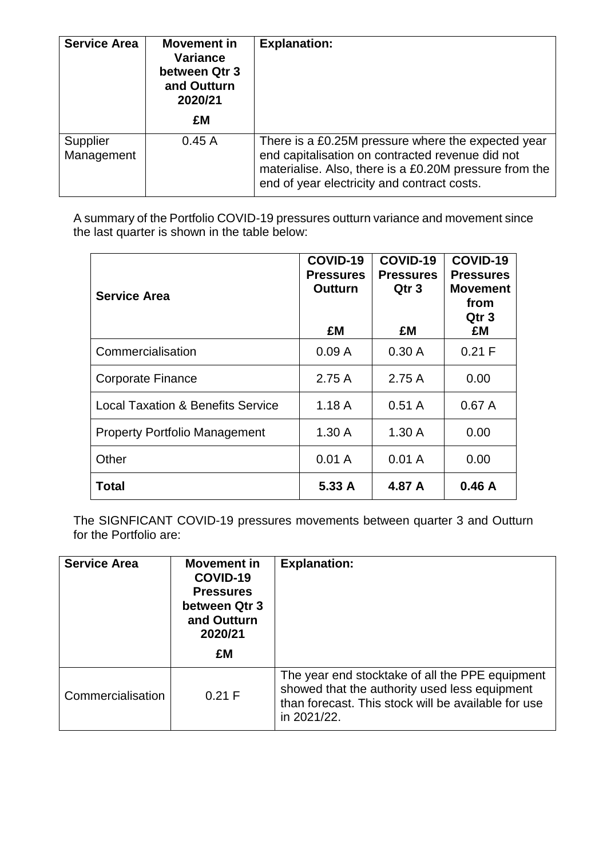| <b>Service Area</b>    | <b>Movement in</b><br>Variance<br>between Qtr 3<br>and Outturn<br>2020/21<br>£M | <b>Explanation:</b>                                                                                                                                                                                             |
|------------------------|---------------------------------------------------------------------------------|-----------------------------------------------------------------------------------------------------------------------------------------------------------------------------------------------------------------|
| Supplier<br>Management | 0.45A                                                                           | There is a £0.25M pressure where the expected year<br>end capitalisation on contracted revenue did not<br>materialise. Also, there is a £0.20M pressure from the<br>end of year electricity and contract costs. |

| <b>Service Area</b>                          | COVID-19<br><b>Pressures</b><br>Outturn<br>£M | COVID-19<br><b>Pressures</b><br>Qtr <sub>3</sub><br>£M | COVID-19<br><b>Pressures</b><br><b>Movement</b><br>from<br>Qtr 3<br>£M |
|----------------------------------------------|-----------------------------------------------|--------------------------------------------------------|------------------------------------------------------------------------|
| Commercialisation                            | 0.09A                                         | 0.30A                                                  | 0.21 F                                                                 |
| Corporate Finance                            | 2.75A                                         | 2.75A                                                  | 0.00                                                                   |
| <b>Local Taxation &amp; Benefits Service</b> | 1.18A                                         | 0.51A                                                  | 0.67A                                                                  |
| <b>Property Portfolio Management</b>         | 1.30A                                         | 1.30A                                                  | 0.00                                                                   |
| Other                                        | 0.01A                                         | 0.01A                                                  | 0.00                                                                   |
| Total                                        | 5.33 A                                        | 4.87 A                                                 | 0.46A                                                                  |

The SIGNFICANT COVID-19 pressures movements between quarter 3 and Outturn for the Portfolio are:

| <b>Service Area</b> | Movement in<br>COVID-19<br><b>Pressures</b><br>between Qtr 3<br>and Outturn<br>2020/21 | <b>Explanation:</b>                                                                                                                                                    |
|---------------------|----------------------------------------------------------------------------------------|------------------------------------------------------------------------------------------------------------------------------------------------------------------------|
|                     | £M                                                                                     |                                                                                                                                                                        |
| Commercialisation   | 0.21 F                                                                                 | The year end stocktake of all the PPE equipment<br>showed that the authority used less equipment<br>than forecast. This stock will be available for use<br>in 2021/22. |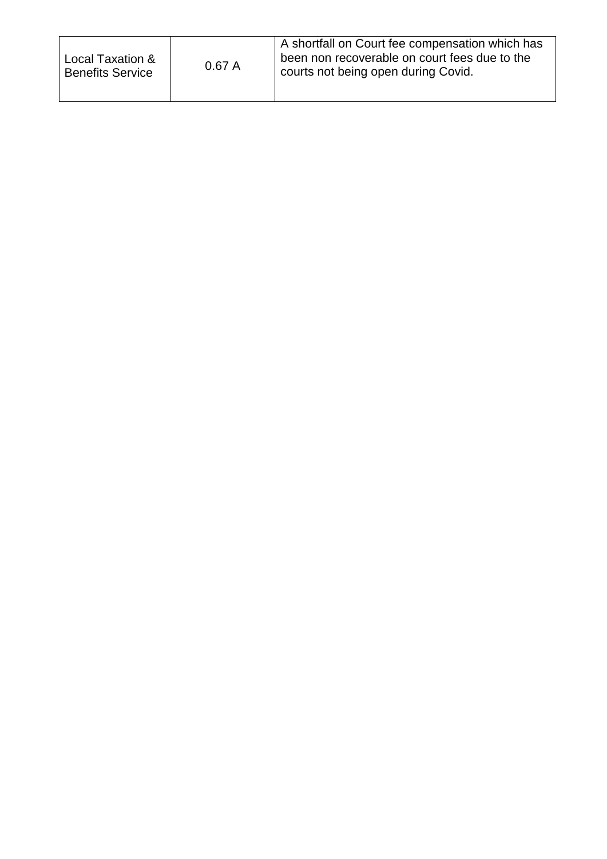| Local Taxation &<br><b>Benefits Service</b> | 0.67A | A shortfall on Court fee compensation which has<br>been non recoverable on court fees due to the<br>courts not being open during Covid. |
|---------------------------------------------|-------|-----------------------------------------------------------------------------------------------------------------------------------------|
|                                             |       |                                                                                                                                         |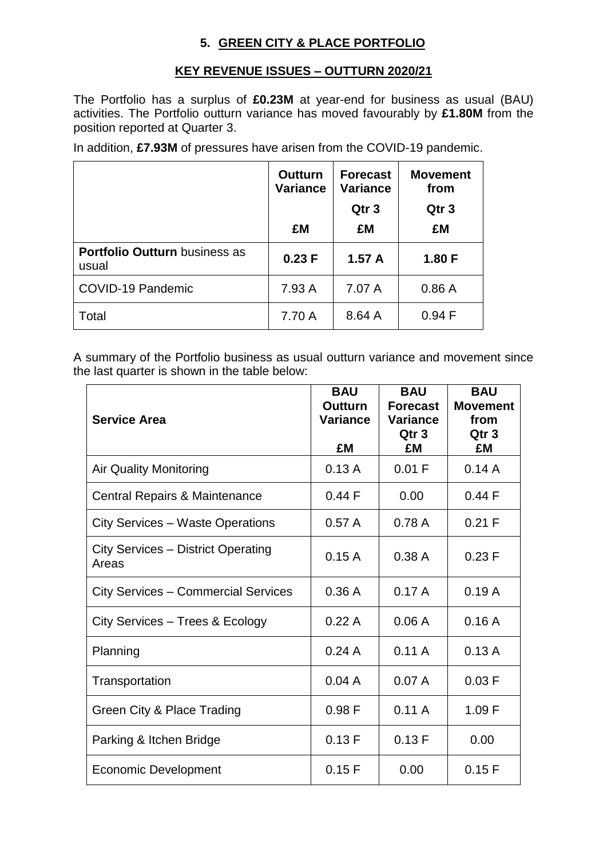## **5. GREEN CITY & PLACE PORTFOLIO**

#### **KEY REVENUE ISSUES – OUTTURN 2020/21**

The Portfolio has a surplus of **£0.23M** at year-end for business as usual (BAU) activities. The Portfolio outturn variance has moved favourably by **£1.80M** from the position reported at Quarter 3.

In addition, **£7.93M** of pressures have arisen from the COVID-19 pandemic.

|                                               | <b>Outturn</b><br><b>Variance</b> | <b>Forecast</b><br><b>Variance</b><br>Qtr <sub>3</sub> | <b>Movement</b><br>from<br>Qtr <sub>3</sub> |
|-----------------------------------------------|-----------------------------------|--------------------------------------------------------|---------------------------------------------|
|                                               | £M                                | £M                                                     | £M                                          |
| <b>Portfolio Outturn business as</b><br>usual | 0.23 F                            | 1.57A                                                  | 1.80 F                                      |
| COVID-19 Pandemic                             | 7.93 A                            | 7.07 A                                                 | 0.86A                                       |
| Total                                         | 7.70 A                            | 8.64 A                                                 | 0.94 F                                      |

A summary of the Portfolio business as usual outturn variance and movement since the last quarter is shown in the table below:

| <b>Service Area</b>                         | <b>BAU</b><br>Outturn<br><b>Variance</b><br>£M | <b>BAU</b><br><b>Forecast</b><br><b>Variance</b><br>Qtr <sub>3</sub><br>£Μ | <b>BAU</b><br><b>Movement</b><br>from<br>Qtr <sub>3</sub><br>£M |
|---------------------------------------------|------------------------------------------------|----------------------------------------------------------------------------|-----------------------------------------------------------------|
| <b>Air Quality Monitoring</b>               | 0.13A                                          | 0.01 F                                                                     | 0.14A                                                           |
| <b>Central Repairs &amp; Maintenance</b>    | 0.44 F                                         | 0.00                                                                       | 0.44 F                                                          |
| <b>City Services – Waste Operations</b>     | 0.57A                                          | 0.78A                                                                      | 0.21 F                                                          |
| City Services - District Operating<br>Areas | 0.15A                                          | 0.38A                                                                      | 0.23 F                                                          |
| <b>City Services - Commercial Services</b>  | 0.36A                                          | 0.17A                                                                      | 0.19A                                                           |
| City Services - Trees & Ecology             | 0.22A                                          | 0.06A                                                                      | 0.16A                                                           |
| Planning                                    | 0.24A                                          | 0.11A                                                                      | 0.13A                                                           |
| Transportation                              | 0.04A                                          | 0.07A                                                                      | 0.03 F                                                          |
| Green City & Place Trading                  | 0.98F                                          | 0.11A                                                                      | 1.09 F                                                          |
| Parking & Itchen Bridge                     | 0.13 F                                         | 0.13 F                                                                     | 0.00                                                            |
| <b>Economic Development</b>                 | 0.15F                                          | 0.00                                                                       | 0.15 F                                                          |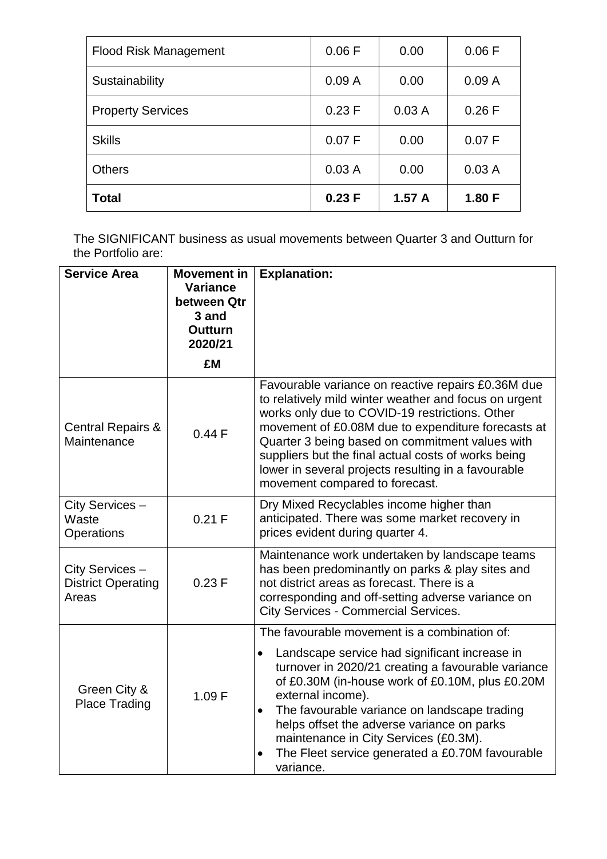| <b>Flood Risk Management</b> | 0.06 F | 0.00  | 0.06 F |
|------------------------------|--------|-------|--------|
| Sustainability               | 0.09A  | 0.00  | 0.09A  |
| <b>Property Services</b>     | 0.23 F | 0.03A | 0.26 F |
| <b>Skills</b>                | 0.07 F | 0.00  | 0.07 F |
| <b>Others</b>                | 0.03A  | 0.00  | 0.03A  |
| <b>Total</b>                 | 0.23 F | 1.57A | 1.80 F |

| <b>Service Area</b>                                   | <b>Movement in</b><br><b>Variance</b><br>between Qtr<br>3 and<br><b>Outturn</b><br>2020/21 | <b>Explanation:</b>                                                                                                                                                                                                                                                                                                                                                                                                                                                       |
|-------------------------------------------------------|--------------------------------------------------------------------------------------------|---------------------------------------------------------------------------------------------------------------------------------------------------------------------------------------------------------------------------------------------------------------------------------------------------------------------------------------------------------------------------------------------------------------------------------------------------------------------------|
|                                                       | £M                                                                                         |                                                                                                                                                                                                                                                                                                                                                                                                                                                                           |
| <b>Central Repairs &amp;</b><br>Maintenance           | 0.44F                                                                                      | Favourable variance on reactive repairs £0.36M due<br>to relatively mild winter weather and focus on urgent<br>works only due to COVID-19 restrictions. Other<br>movement of £0.08M due to expenditure forecasts at<br>Quarter 3 being based on commitment values with<br>suppliers but the final actual costs of works being<br>lower in several projects resulting in a favourable<br>movement compared to forecast.                                                    |
| City Services -<br>Waste<br>Operations                | 0.21 F                                                                                     | Dry Mixed Recyclables income higher than<br>anticipated. There was some market recovery in<br>prices evident during quarter 4.                                                                                                                                                                                                                                                                                                                                            |
| City Services -<br><b>District Operating</b><br>Areas | 0.23 F                                                                                     | Maintenance work undertaken by landscape teams<br>has been predominantly on parks & play sites and<br>not district areas as forecast. There is a<br>corresponding and off-setting adverse variance on<br><b>City Services - Commercial Services.</b>                                                                                                                                                                                                                      |
| Green City &<br><b>Place Trading</b>                  | 1.09 F                                                                                     | The favourable movement is a combination of:<br>Landscape service had significant increase in<br>$\bullet$<br>turnover in 2020/21 creating a favourable variance<br>of £0.30M (in-house work of £0.10M, plus £0.20M<br>external income).<br>The favourable variance on landscape trading<br>$\bullet$<br>helps offset the adverse variance on parks<br>maintenance in City Services (£0.3M).<br>The Fleet service generated a £0.70M favourable<br>$\bullet$<br>variance. |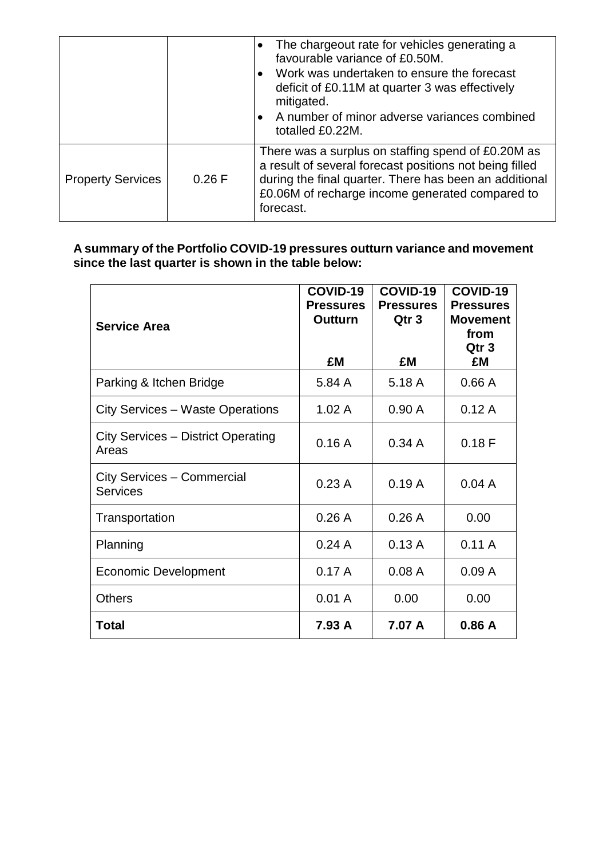|                          |        | The chargeout rate for vehicles generating a<br>favourable variance of £0.50M.<br>Work was undertaken to ensure the forecast<br>deficit of £0.11M at quarter 3 was effectively<br>mitigated.<br>A number of minor adverse variances combined<br>totalled £0.22M. |
|--------------------------|--------|------------------------------------------------------------------------------------------------------------------------------------------------------------------------------------------------------------------------------------------------------------------|
| <b>Property Services</b> | 0.26 F | There was a surplus on staffing spend of £0.20M as<br>a result of several forecast positions not being filled<br>during the final quarter. There has been an additional<br>£0.06M of recharge income generated compared to<br>forecast.                          |

| <b>Service Area</b>                                | COVID-19<br><b>Pressures</b><br>Outturn<br>£M | COVID-19<br><b>Pressures</b><br>Qtr 3<br>£M | COVID-19<br><b>Pressures</b><br><b>Movement</b><br>from<br>Qtr <sub>3</sub><br>£M |
|----------------------------------------------------|-----------------------------------------------|---------------------------------------------|-----------------------------------------------------------------------------------|
| Parking & Itchen Bridge                            | 5.84 A                                        | 5.18 A                                      | 0.66A                                                                             |
| <b>City Services - Waste Operations</b>            | 1.02A                                         | 0.90A                                       | 0.12A                                                                             |
| <b>City Services - District Operating</b><br>Areas | 0.16A                                         | 0.34A                                       | 0.18F                                                                             |
| City Services - Commercial<br><b>Services</b>      | 0.23A                                         | 0.19A                                       | 0.04A                                                                             |
| Transportation                                     | 0.26A                                         | 0.26A                                       | 0.00                                                                              |
| Planning                                           | 0.24A                                         | 0.13A                                       | 0.11A                                                                             |
| <b>Economic Development</b>                        | 0.17A                                         | 0.08A                                       | 0.09A                                                                             |
| <b>Others</b>                                      | 0.01A                                         | 0.00                                        | 0.00                                                                              |
| <b>Total</b>                                       | 7.93 A                                        | 7.07 A                                      | 0.86A                                                                             |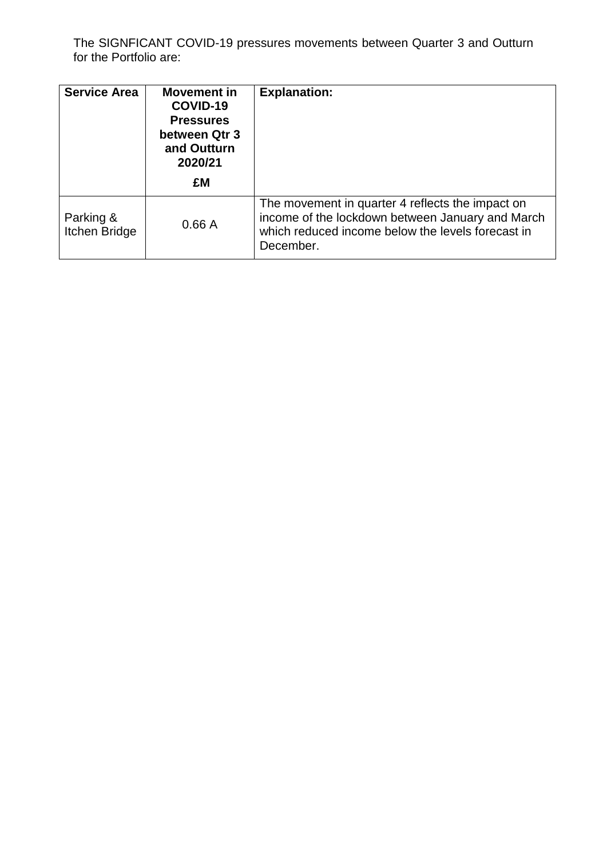The SIGNFICANT COVID-19 pressures movements between Quarter 3 and Outturn for the Portfolio are:

| <b>Service Area</b>               | Movement in<br>COVID-19<br><b>Pressures</b><br>between Qtr 3<br>and Outturn<br>2020/21 | <b>Explanation:</b>                                                                                                                                                    |
|-----------------------------------|----------------------------------------------------------------------------------------|------------------------------------------------------------------------------------------------------------------------------------------------------------------------|
|                                   | £M                                                                                     |                                                                                                                                                                        |
| Parking &<br><b>Itchen Bridge</b> | 0.66A                                                                                  | The movement in quarter 4 reflects the impact on<br>income of the lockdown between January and March<br>which reduced income below the levels forecast in<br>December. |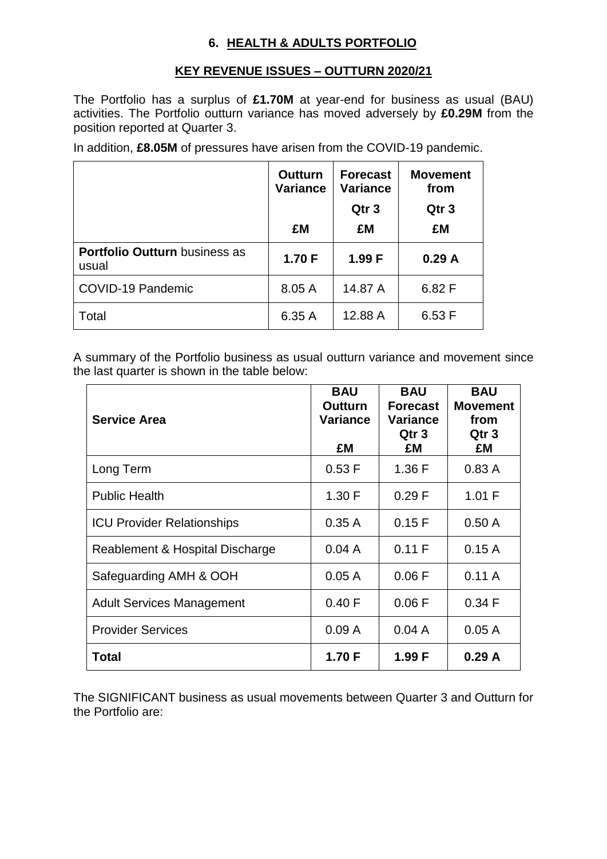## **6. HEALTH & ADULTS PORTFOLIO**

### **KEY REVENUE ISSUES – OUTTURN 2020/21**

The Portfolio has a surplus of **£1.70M** at year-end for business as usual (BAU) activities. The Portfolio outturn variance has moved adversely by **£0.29M** from the position reported at Quarter 3.

In addition, **£8.05M** of pressures have arisen from the COVID-19 pandemic.

|                                               | <b>Outturn</b><br><b>Variance</b> | <b>Forecast</b><br><b>Variance</b><br>Qtr <sub>3</sub> | <b>Movement</b><br>from<br>Qtr <sub>3</sub> |
|-----------------------------------------------|-----------------------------------|--------------------------------------------------------|---------------------------------------------|
|                                               | £M                                | £M                                                     | £M                                          |
| <b>Portfolio Outturn business as</b><br>usual | 1.70 F                            | 1.99 F                                                 | 0.29A                                       |
| <b>COVID-19 Pandemic</b>                      | 8.05 A                            | 14.87 A                                                | 6.82 F                                      |
| Total                                         | 6.35 A                            | 12.88 A                                                | 6.53 F                                      |

A summary of the Portfolio business as usual outturn variance and movement since the last quarter is shown in the table below:

| <b>Service Area</b>               | <b>BAU</b><br><b>Outturn</b><br><b>Variance</b><br>£M | <b>BAU</b><br><b>Forecast</b><br><b>Variance</b><br>Qtr <sub>3</sub><br>£M | <b>BAU</b><br><b>Movement</b><br>from<br>Qtr <sub>3</sub><br>£M |
|-----------------------------------|-------------------------------------------------------|----------------------------------------------------------------------------|-----------------------------------------------------------------|
| Long Term                         | 0.53 F                                                | 1.36 F                                                                     | 0.83A                                                           |
| <b>Public Health</b>              | 1.30 F                                                | 0.29 F                                                                     | 1.01 F                                                          |
| <b>ICU Provider Relationships</b> | 0.35A                                                 | 0.15 F                                                                     | 0.50A                                                           |
| Reablement & Hospital Discharge   | 0.04A                                                 | 0.11 F                                                                     | 0.15A                                                           |
| Safeguarding AMH & OOH            | 0.05A                                                 | 0.06 F                                                                     | 0.11A                                                           |
| Adult Services Management         | 0.40 F                                                | 0.06 F                                                                     | 0.34 F                                                          |
| <b>Provider Services</b>          | 0.09A                                                 | 0.04A                                                                      | 0.05A                                                           |
| Total                             | 1.70 F                                                | 1.99 F                                                                     | 0.29A                                                           |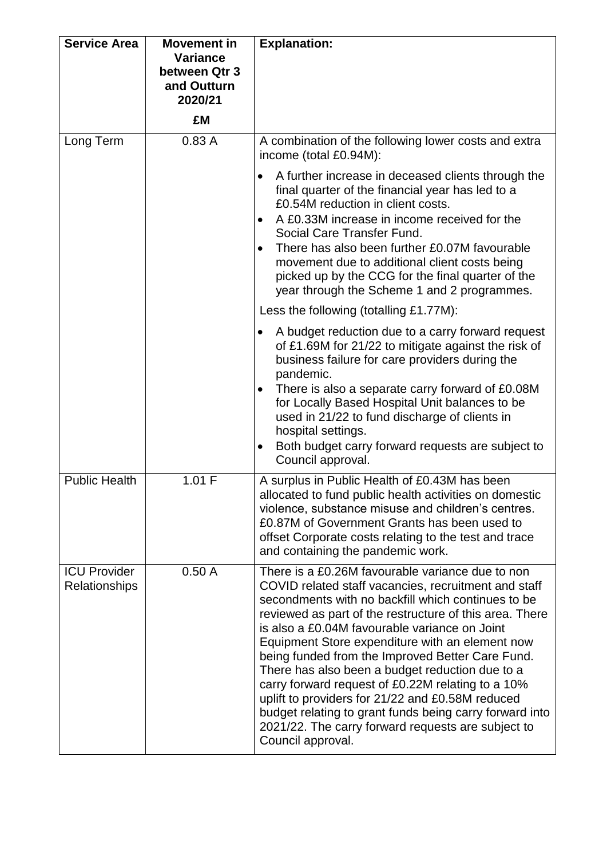| <b>Service Area</b>                         | <b>Movement in</b><br><b>Variance</b><br>between Qtr 3<br>and Outturn<br>2020/21<br>£M | <b>Explanation:</b>                                                                                                                                                                                                                                                                                                                                                                                                                                                                                                                                                                                                                                                                 |
|---------------------------------------------|----------------------------------------------------------------------------------------|-------------------------------------------------------------------------------------------------------------------------------------------------------------------------------------------------------------------------------------------------------------------------------------------------------------------------------------------------------------------------------------------------------------------------------------------------------------------------------------------------------------------------------------------------------------------------------------------------------------------------------------------------------------------------------------|
| Long Term                                   | 0.83A                                                                                  | A combination of the following lower costs and extra<br>income (total £0.94M):                                                                                                                                                                                                                                                                                                                                                                                                                                                                                                                                                                                                      |
|                                             |                                                                                        | A further increase in deceased clients through the<br>$\bullet$<br>final quarter of the financial year has led to a<br>£0.54M reduction in client costs.<br>A £0.33M increase in income received for the<br>$\bullet$<br>Social Care Transfer Fund.<br>There has also been further £0.07M favourable<br>$\bullet$<br>movement due to additional client costs being<br>picked up by the CCG for the final quarter of the<br>year through the Scheme 1 and 2 programmes.                                                                                                                                                                                                              |
|                                             |                                                                                        | Less the following (totalling £1.77M):                                                                                                                                                                                                                                                                                                                                                                                                                                                                                                                                                                                                                                              |
|                                             |                                                                                        | A budget reduction due to a carry forward request<br>$\bullet$<br>of £1.69M for 21/22 to mitigate against the risk of<br>business failure for care providers during the<br>pandemic.<br>There is also a separate carry forward of £0.08M<br>$\bullet$<br>for Locally Based Hospital Unit balances to be<br>used in 21/22 to fund discharge of clients in<br>hospital settings.<br>Both budget carry forward requests are subject to<br>$\bullet$<br>Council approval.                                                                                                                                                                                                               |
| <b>Public Health</b>                        | 1.01 F                                                                                 | A surplus in Public Health of £0.43M has been<br>allocated to fund public health activities on domestic<br>violence, substance misuse and children's centres.<br>£0.87M of Government Grants has been used to<br>offset Corporate costs relating to the test and trace<br>and containing the pandemic work.                                                                                                                                                                                                                                                                                                                                                                         |
| <b>ICU Provider</b><br><b>Relationships</b> | 0.50A                                                                                  | There is a £0.26M favourable variance due to non<br>COVID related staff vacancies, recruitment and staff<br>secondments with no backfill which continues to be<br>reviewed as part of the restructure of this area. There<br>is also a £0.04M favourable variance on Joint<br>Equipment Store expenditure with an element now<br>being funded from the Improved Better Care Fund.<br>There has also been a budget reduction due to a<br>carry forward request of £0.22M relating to a 10%<br>uplift to providers for 21/22 and £0.58M reduced<br>budget relating to grant funds being carry forward into<br>2021/22. The carry forward requests are subject to<br>Council approval. |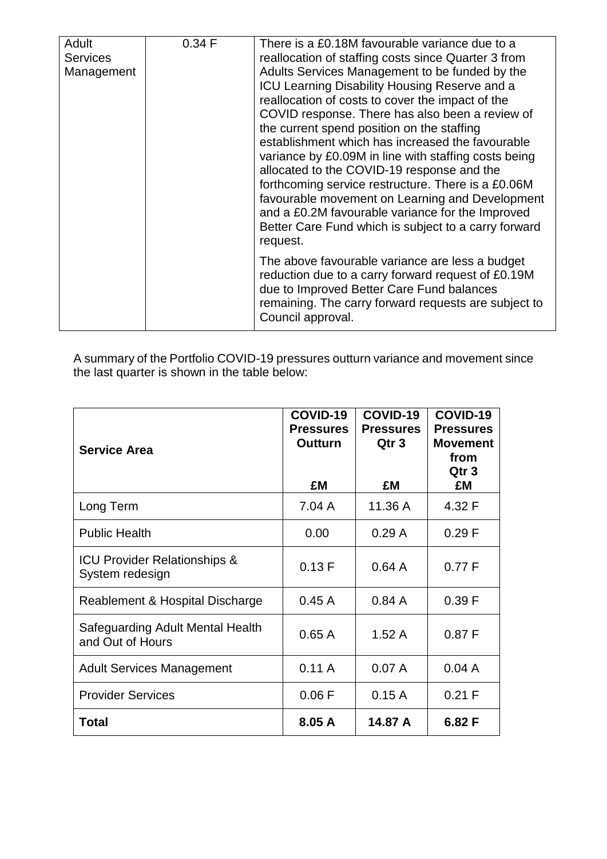| Adult<br><b>Services</b><br>Management | 0.34 F | There is a £0.18M favourable variance due to a<br>reallocation of staffing costs since Quarter 3 from<br>Adults Services Management to be funded by the<br>ICU Learning Disability Housing Reserve and a<br>reallocation of costs to cover the impact of the<br>COVID response. There has also been a review of<br>the current spend position on the staffing<br>establishment which has increased the favourable<br>variance by £0.09M in line with staffing costs being<br>allocated to the COVID-19 response and the<br>forthcoming service restructure. There is a £0.06M<br>favourable movement on Learning and Development<br>and a £0.2M favourable variance for the Improved<br>Better Care Fund which is subject to a carry forward<br>request. |
|----------------------------------------|--------|----------------------------------------------------------------------------------------------------------------------------------------------------------------------------------------------------------------------------------------------------------------------------------------------------------------------------------------------------------------------------------------------------------------------------------------------------------------------------------------------------------------------------------------------------------------------------------------------------------------------------------------------------------------------------------------------------------------------------------------------------------|
|                                        |        | The above favourable variance are less a budget<br>reduction due to a carry forward request of £0.19M<br>due to Improved Better Care Fund balances<br>remaining. The carry forward requests are subject to<br>Council approval.                                                                                                                                                                                                                                                                                                                                                                                                                                                                                                                          |

| <b>Service Area</b>                                        | COVID-19<br><b>Pressures</b><br><b>Outturn</b><br>£M | COVID-19<br><b>Pressures</b><br>Qtr <sub>3</sub><br>£M | COVID-19<br><b>Pressures</b><br><b>Movement</b><br>from<br>Qtr 3<br>£M |
|------------------------------------------------------------|------------------------------------------------------|--------------------------------------------------------|------------------------------------------------------------------------|
| Long Term                                                  | 7.04 A                                               | 11.36 A                                                | 4.32 F                                                                 |
| <b>Public Health</b>                                       | 0.00                                                 | 0.29A                                                  | 0.29 F                                                                 |
| <b>ICU Provider Relationships &amp;</b><br>System redesign | 0.13 F                                               | 0.64A                                                  | 0.77 F                                                                 |
| Reablement & Hospital Discharge                            | 0.45A                                                | 0.84A                                                  | 0.39 F                                                                 |
| Safeguarding Adult Mental Health<br>and Out of Hours       | 0.65A                                                | 1.52A                                                  | 0.87 F                                                                 |
| <b>Adult Services Management</b>                           | 0.11A                                                | 0.07A                                                  | 0.04A                                                                  |
| <b>Provider Services</b>                                   | 0.06F                                                | 0.15A                                                  | 0.21 F                                                                 |
| <b>Total</b>                                               | 8.05 A                                               | 14.87 A                                                | 6.82F                                                                  |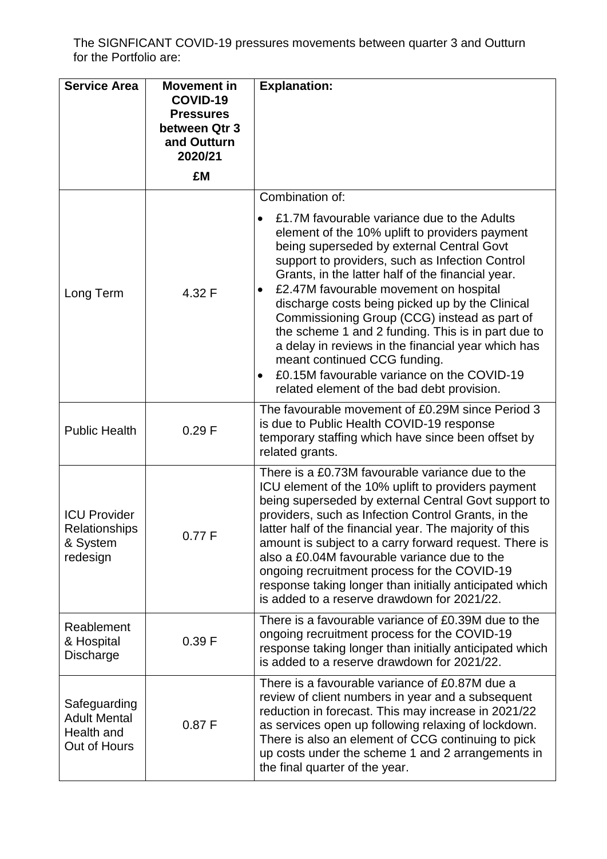The SIGNFICANT COVID-19 pressures movements between quarter 3 and Outturn for the Portfolio are:

| <b>Service Area</b>                                               | <b>Movement in</b><br>COVID-19<br><b>Pressures</b><br>between Qtr 3 | <b>Explanation:</b>                                                                                                                                                                                                                                                                                                                                                                                                                                                                                                                                                                                                                                                                  |
|-------------------------------------------------------------------|---------------------------------------------------------------------|--------------------------------------------------------------------------------------------------------------------------------------------------------------------------------------------------------------------------------------------------------------------------------------------------------------------------------------------------------------------------------------------------------------------------------------------------------------------------------------------------------------------------------------------------------------------------------------------------------------------------------------------------------------------------------------|
|                                                                   | and Outturn<br>2020/21                                              |                                                                                                                                                                                                                                                                                                                                                                                                                                                                                                                                                                                                                                                                                      |
|                                                                   | £M                                                                  |                                                                                                                                                                                                                                                                                                                                                                                                                                                                                                                                                                                                                                                                                      |
| Long Term                                                         | 4.32 F                                                              | Combination of:<br>£1.7M favourable variance due to the Adults<br>element of the 10% uplift to providers payment<br>being superseded by external Central Govt<br>support to providers, such as Infection Control<br>Grants, in the latter half of the financial year.<br>£2.47M favourable movement on hospital<br>$\bullet$<br>discharge costs being picked up by the Clinical<br>Commissioning Group (CCG) instead as part of<br>the scheme 1 and 2 funding. This is in part due to<br>a delay in reviews in the financial year which has<br>meant continued CCG funding.<br>£0.15M favourable variance on the COVID-19<br>$\bullet$<br>related element of the bad debt provision. |
| <b>Public Health</b>                                              | 0.29 F                                                              | The favourable movement of £0.29M since Period 3<br>is due to Public Health COVID-19 response<br>temporary staffing which have since been offset by<br>related grants.                                                                                                                                                                                                                                                                                                                                                                                                                                                                                                               |
| <b>ICU Provider</b><br>Relationships<br>& System<br>redesign      | 0.77 F                                                              | There is a £0.73M favourable variance due to the<br>ICU element of the 10% uplift to providers payment<br>being superseded by external Central Govt support to<br>providers, such as Infection Control Grants, in the<br>latter half of the financial year. The majority of this<br>amount is subject to a carry forward request. There is<br>also a £0.04M favourable variance due to the<br>ongoing recruitment process for the COVID-19<br>response taking longer than initially anticipated which<br>is added to a reserve drawdown for 2021/22.                                                                                                                                 |
| Reablement<br>& Hospital<br>Discharge                             | 0.39 F                                                              | There is a favourable variance of £0.39M due to the<br>ongoing recruitment process for the COVID-19<br>response taking longer than initially anticipated which<br>is added to a reserve drawdown for 2021/22.                                                                                                                                                                                                                                                                                                                                                                                                                                                                        |
| Safeguarding<br><b>Adult Mental</b><br>Health and<br>Out of Hours | 0.87 F                                                              | There is a favourable variance of £0.87M due a<br>review of client numbers in year and a subsequent<br>reduction in forecast. This may increase in 2021/22<br>as services open up following relaxing of lockdown.<br>There is also an element of CCG continuing to pick<br>up costs under the scheme 1 and 2 arrangements in<br>the final quarter of the year.                                                                                                                                                                                                                                                                                                                       |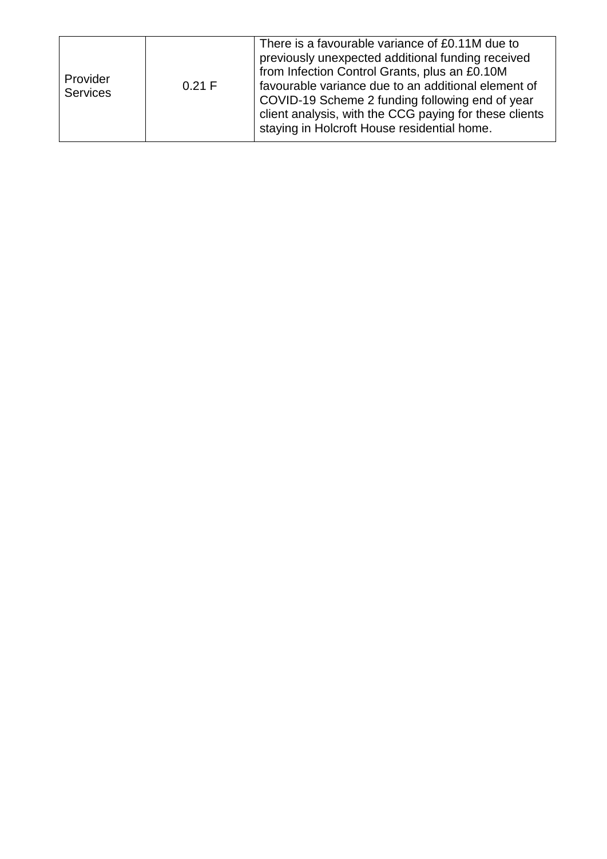| Provider<br><b>Services</b> | 0.21 F | There is a favourable variance of £0.11M due to<br>previously unexpected additional funding received<br>from Infection Control Grants, plus an £0.10M<br>favourable variance due to an additional element of<br>COVID-19 Scheme 2 funding following end of year<br>client analysis, with the CCG paying for these clients<br>staying in Holcroft House residential home. |
|-----------------------------|--------|--------------------------------------------------------------------------------------------------------------------------------------------------------------------------------------------------------------------------------------------------------------------------------------------------------------------------------------------------------------------------|
|-----------------------------|--------|--------------------------------------------------------------------------------------------------------------------------------------------------------------------------------------------------------------------------------------------------------------------------------------------------------------------------------------------------------------------------|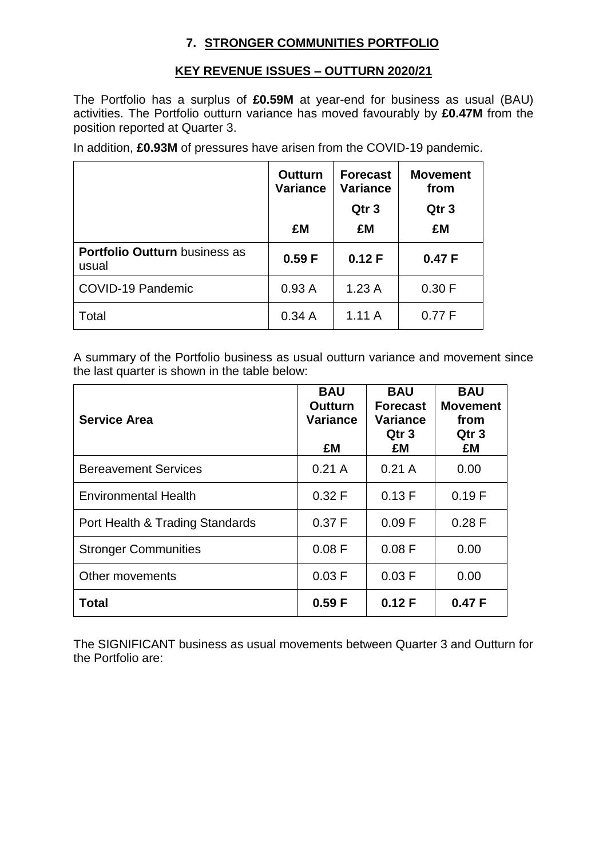#### **7. STRONGER COMMUNITIES PORTFOLIO**

#### **KEY REVENUE ISSUES – OUTTURN 2020/21**

The Portfolio has a surplus of **£0.59M** at year-end for business as usual (BAU) activities. The Portfolio outturn variance has moved favourably by **£0.47M** from the position reported at Quarter 3.

In addition, **£0.93M** of pressures have arisen from the COVID-19 pandemic.

|                                               | <b>Outturn</b><br><b>Variance</b> | <b>Forecast</b><br><b>Variance</b><br>Qtr <sub>3</sub> | <b>Movement</b><br>from<br>Qtr <sub>3</sub> |  |
|-----------------------------------------------|-----------------------------------|--------------------------------------------------------|---------------------------------------------|--|
|                                               | £M                                | £M                                                     | £M                                          |  |
| <b>Portfolio Outturn business as</b><br>usual | 0.59 F                            | 0.12 F                                                 | 0.47 F                                      |  |
| COVID-19 Pandemic                             | 0.93A                             | 1.23A                                                  | 0.30 F                                      |  |
| Total                                         | 0.34A                             | 1.11A                                                  | 0.77 F                                      |  |

A summary of the Portfolio business as usual outturn variance and movement since the last quarter is shown in the table below:

| <b>Service Area</b>             | <b>BAU</b><br><b>Outturn</b><br><b>Variance</b><br>£M | <b>BAU</b><br><b>Forecast</b><br>Variance<br>Qtr 3<br>£M | <b>BAU</b><br><b>Movement</b><br>from<br>Qtr <sub>3</sub><br>£M |
|---------------------------------|-------------------------------------------------------|----------------------------------------------------------|-----------------------------------------------------------------|
| <b>Bereavement Services</b>     | 0.21A                                                 | 0.21A                                                    | 0.00                                                            |
| <b>Environmental Health</b>     | 0.32 F                                                | 0.13 F                                                   | 0.19 F                                                          |
| Port Health & Trading Standards | 0.37 F                                                | 0.09 F                                                   | $0.28$ F                                                        |
| <b>Stronger Communities</b>     | 0.08 F                                                | 0.08 F                                                   | 0.00                                                            |
| Other movements                 | 0.03 F                                                | 0.03 F                                                   | 0.00                                                            |
| <b>Total</b>                    | 0.59 F                                                | 0.12 F                                                   | 0.47 F                                                          |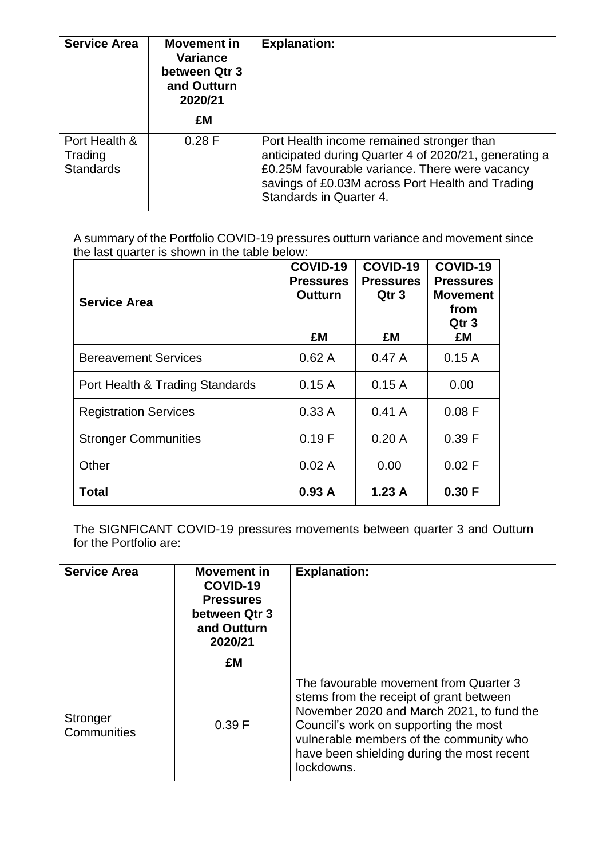| <b>Service Area</b>                          | <b>Movement in</b><br>Variance<br>between Qtr 3<br>and Outturn<br>2020/21<br>£M | <b>Explanation:</b>                                                                                                                                                                                                                 |
|----------------------------------------------|---------------------------------------------------------------------------------|-------------------------------------------------------------------------------------------------------------------------------------------------------------------------------------------------------------------------------------|
| Port Health &<br>Trading<br><b>Standards</b> | 0.28 F                                                                          | Port Health income remained stronger than<br>anticipated during Quarter 4 of 2020/21, generating a<br>£0.25M favourable variance. There were vacancy<br>savings of £0.03M across Port Health and Trading<br>Standards in Quarter 4. |

| <b>Service Area</b>             | COVID-19<br><b>Pressures</b><br><b>Outturn</b> | COVID-19<br><b>Pressures</b><br>Qtr <sub>3</sub> | COVID-19<br><b>Pressures</b><br><b>Movement</b><br>from<br>Qtr <sub>3</sub> |
|---------------------------------|------------------------------------------------|--------------------------------------------------|-----------------------------------------------------------------------------|
|                                 | £M                                             | £M                                               | £M                                                                          |
| <b>Bereavement Services</b>     | 0.62A                                          | 0.47A                                            | 0.15A                                                                       |
| Port Health & Trading Standards | 0.15A                                          | 0.15A                                            | 0.00                                                                        |
| <b>Registration Services</b>    | 0.33A                                          | 0.41A                                            | 0.08 F                                                                      |
| <b>Stronger Communities</b>     | 0.19 F                                         | 0.20A                                            | 0.39 F                                                                      |
| Other                           | 0.02A                                          | 0.00                                             | $0.02$ F                                                                    |
| <b>Total</b>                    | 0.93A                                          | 1.23A                                            | 0.30 F                                                                      |

The SIGNFICANT COVID-19 pressures movements between quarter 3 and Outturn for the Portfolio are:

| <b>Service Area</b>     | <b>Movement in</b><br>COVID-19<br><b>Pressures</b><br>between Qtr 3<br>and Outturn<br>2020/21<br>£M | <b>Explanation:</b>                                                                                                                                                                                                                                                            |
|-------------------------|-----------------------------------------------------------------------------------------------------|--------------------------------------------------------------------------------------------------------------------------------------------------------------------------------------------------------------------------------------------------------------------------------|
| Stronger<br>Communities | 0.39 F                                                                                              | The favourable movement from Quarter 3<br>stems from the receipt of grant between<br>November 2020 and March 2021, to fund the<br>Council's work on supporting the most<br>vulnerable members of the community who<br>have been shielding during the most recent<br>lockdowns. |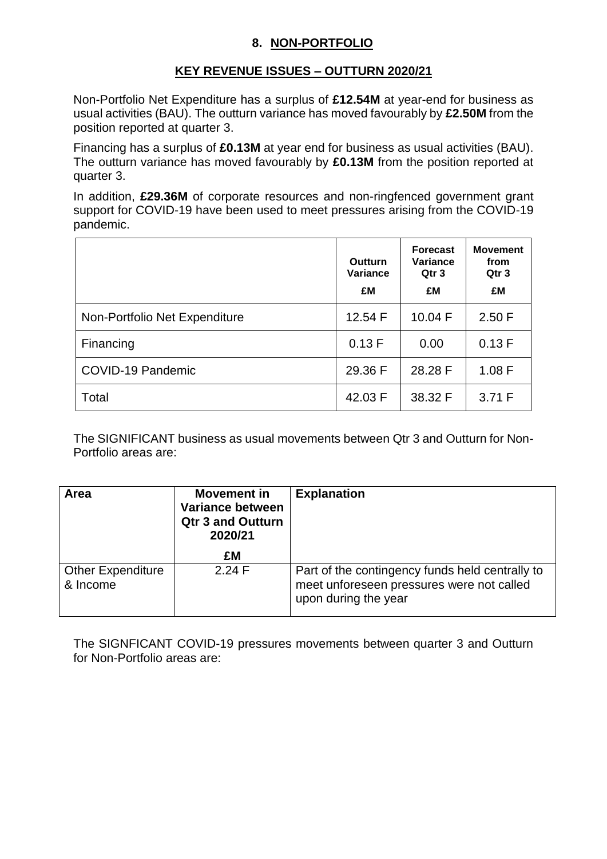### **8. NON-PORTFOLIO**

#### **KEY REVENUE ISSUES – OUTTURN 2020/21**

Non-Portfolio Net Expenditure has a surplus of **£12.54M** at year-end for business as usual activities (BAU). The outturn variance has moved favourably by **£2.50M** from the position reported at quarter 3.

Financing has a surplus of **£0.13M** at year end for business as usual activities (BAU). The outturn variance has moved favourably by **£0.13M** from the position reported at quarter 3.

In addition, **£29.36M** of corporate resources and non-ringfenced government grant support for COVID-19 have been used to meet pressures arising from the COVID-19 pandemic.

|                               | Outturn<br><b>Variance</b><br>£M | <b>Forecast</b><br>Variance<br>Qtr <sub>3</sub><br>£M | <b>Movement</b><br>from<br>Qtr 3<br>£M |
|-------------------------------|----------------------------------|-------------------------------------------------------|----------------------------------------|
| Non-Portfolio Net Expenditure | 12.54 F                          | 10.04 F                                               | 2.50 F                                 |
| Financing                     | 0.13 F                           | 0.00                                                  | 0.13 F                                 |
| COVID-19 Pandemic             | 29.36 F                          | 28.28 F                                               | 1.08 F                                 |
| Total                         | 42.03 F                          | 38.32 F                                               | 3.71 F                                 |

The SIGNIFICANT business as usual movements between Qtr 3 and Outturn for Non-Portfolio areas are:

| <b>Area</b>                          | <b>Movement in</b><br>Variance between<br><b>Qtr 3 and Outturn</b><br>2020/21 | <b>Explanation</b>                                                                                                   |
|--------------------------------------|-------------------------------------------------------------------------------|----------------------------------------------------------------------------------------------------------------------|
|                                      | £M                                                                            |                                                                                                                      |
| <b>Other Expenditure</b><br>& Income | 2.24 F                                                                        | Part of the contingency funds held centrally to<br>meet unforeseen pressures were not called<br>upon during the year |

The SIGNFICANT COVID-19 pressures movements between quarter 3 and Outturn for Non-Portfolio areas are: